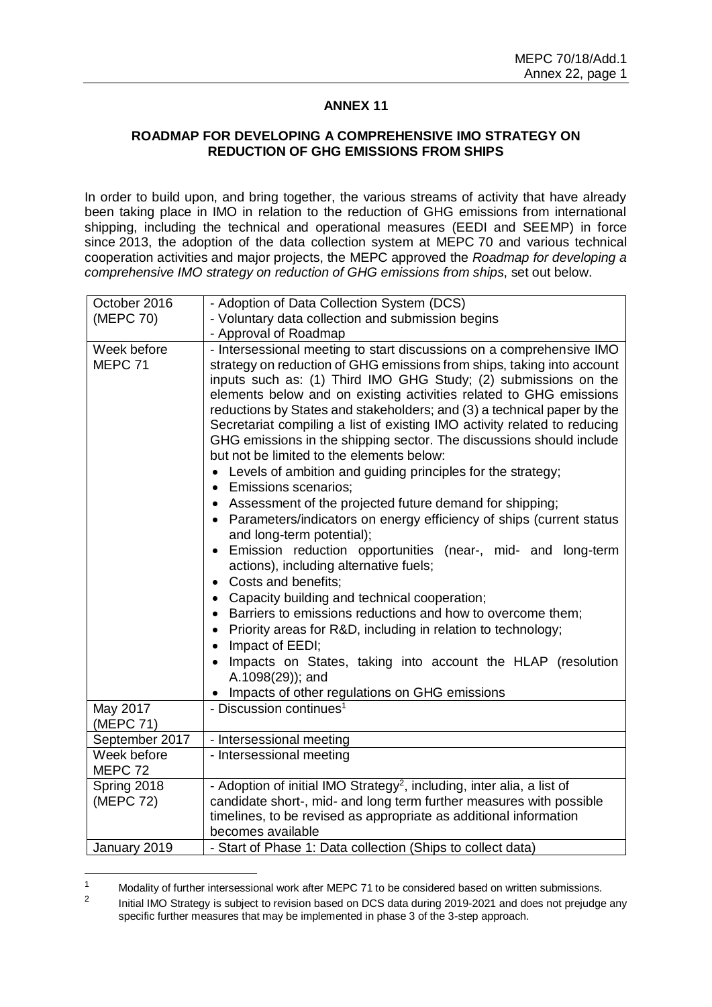## **ANNEX 11**

## **ROADMAP FOR DEVELOPING A COMPREHENSIVE IMO STRATEGY ON REDUCTION OF GHG EMISSIONS FROM SHIPS**

In order to build upon, and bring together, the various streams of activity that have already been taking place in IMO in relation to the reduction of GHG emissions from international shipping, including the technical and operational measures (EEDI and SEEMP) in force since 2013, the adoption of the data collection system at MEPC 70 and various technical cooperation activities and major projects, the MEPC approved the *Roadmap for developing a comprehensive IMO strategy on reduction of GHG emissions from ships*, set out below.

| October 2016             | - Adoption of Data Collection System (DCS)                                                                                                                                                                                                                                                                                                                                                                                                                                                                                                                                                                                                                                                                                                                                                                                                                                                                                                                                                                                                                                                                                                                                                                                                                                                                                                                                             |
|--------------------------|----------------------------------------------------------------------------------------------------------------------------------------------------------------------------------------------------------------------------------------------------------------------------------------------------------------------------------------------------------------------------------------------------------------------------------------------------------------------------------------------------------------------------------------------------------------------------------------------------------------------------------------------------------------------------------------------------------------------------------------------------------------------------------------------------------------------------------------------------------------------------------------------------------------------------------------------------------------------------------------------------------------------------------------------------------------------------------------------------------------------------------------------------------------------------------------------------------------------------------------------------------------------------------------------------------------------------------------------------------------------------------------|
| (MEPC 70)                | - Voluntary data collection and submission begins                                                                                                                                                                                                                                                                                                                                                                                                                                                                                                                                                                                                                                                                                                                                                                                                                                                                                                                                                                                                                                                                                                                                                                                                                                                                                                                                      |
|                          | - Approval of Roadmap                                                                                                                                                                                                                                                                                                                                                                                                                                                                                                                                                                                                                                                                                                                                                                                                                                                                                                                                                                                                                                                                                                                                                                                                                                                                                                                                                                  |
| Week before<br>MEPC 71   | - Intersessional meeting to start discussions on a comprehensive IMO<br>strategy on reduction of GHG emissions from ships, taking into account<br>inputs such as: (1) Third IMO GHG Study; (2) submissions on the<br>elements below and on existing activities related to GHG emissions<br>reductions by States and stakeholders; and (3) a technical paper by the<br>Secretariat compiling a list of existing IMO activity related to reducing<br>GHG emissions in the shipping sector. The discussions should include<br>but not be limited to the elements below:<br>Levels of ambition and guiding principles for the strategy;<br>$\bullet$<br><b>Emissions scenarios;</b><br>$\bullet$<br>• Assessment of the projected future demand for shipping;<br>Parameters/indicators on energy efficiency of ships (current status<br>and long-term potential);<br>Emission reduction opportunities (near-, mid- and long-term<br>actions), including alternative fuels;<br>Costs and benefits:<br>$\bullet$<br>Capacity building and technical cooperation;<br>$\bullet$<br>Barriers to emissions reductions and how to overcome them;<br>$\bullet$<br>Priority areas for R&D, including in relation to technology;<br>Impact of EEDI;<br>$\bullet$<br>Impacts on States, taking into account the HLAP (resolution<br>A.1098(29)); and<br>Impacts of other regulations on GHG emissions |
| May 2017<br>(MEPC 71)    | - Discussion continues <sup>1</sup>                                                                                                                                                                                                                                                                                                                                                                                                                                                                                                                                                                                                                                                                                                                                                                                                                                                                                                                                                                                                                                                                                                                                                                                                                                                                                                                                                    |
| September 2017           | - Intersessional meeting                                                                                                                                                                                                                                                                                                                                                                                                                                                                                                                                                                                                                                                                                                                                                                                                                                                                                                                                                                                                                                                                                                                                                                                                                                                                                                                                                               |
| Week before<br>MEPC 72   | - Intersessional meeting                                                                                                                                                                                                                                                                                                                                                                                                                                                                                                                                                                                                                                                                                                                                                                                                                                                                                                                                                                                                                                                                                                                                                                                                                                                                                                                                                               |
| Spring 2018<br>(MEPC 72) | - Adoption of initial IMO Strategy <sup>2</sup> , including, inter alia, a list of<br>candidate short-, mid- and long term further measures with possible<br>timelines, to be revised as appropriate as additional information<br>becomes available                                                                                                                                                                                                                                                                                                                                                                                                                                                                                                                                                                                                                                                                                                                                                                                                                                                                                                                                                                                                                                                                                                                                    |
| January 2019             | - Start of Phase 1: Data collection (Ships to collect data)                                                                                                                                                                                                                                                                                                                                                                                                                                                                                                                                                                                                                                                                                                                                                                                                                                                                                                                                                                                                                                                                                                                                                                                                                                                                                                                            |

 $\overline{1}$ Modality of further intersessional work after MEPC 71 to be considered based on written submissions.

<sup>2</sup> Initial IMO Strategy is subject to revision based on DCS data during 2019-2021 and does not prejudge any specific further measures that may be implemented in phase 3 of the 3-step approach.